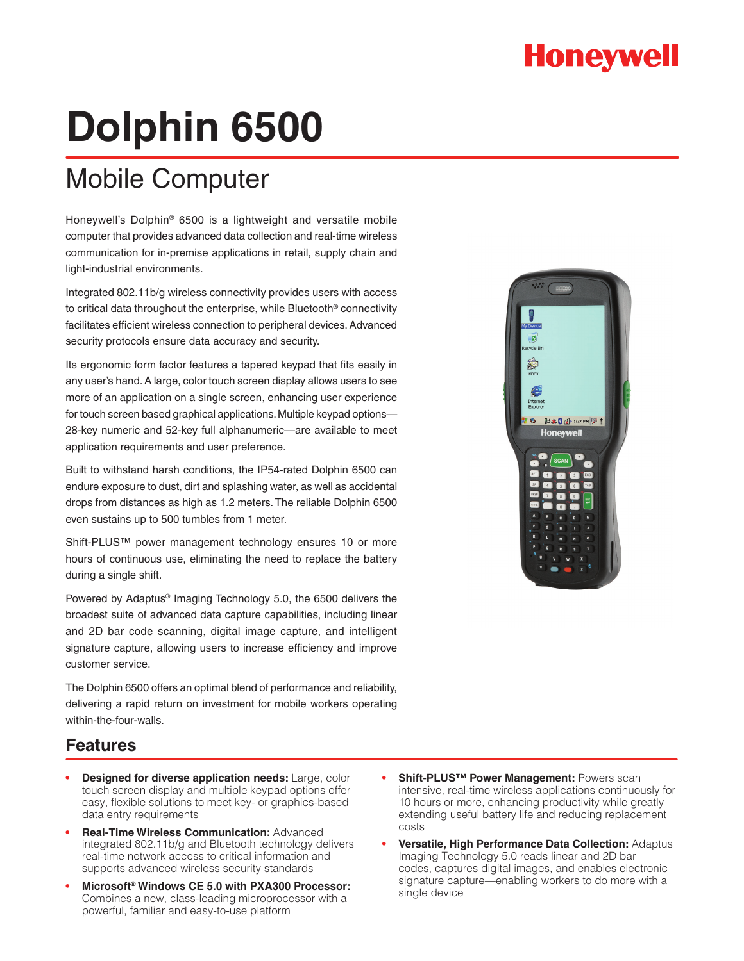## **Honeywell**

# **Dolphin 6500**

## Mobile Computer

Honeywell's Dolphin® 6500 is a lightweight and versatile mobile computer that provides advanced data collection and real-time wireless communication for in-premise applications in retail, supply chain and light-industrial environments.

Integrated 802.11b/g wireless connectivity provides users with access to critical data throughout the enterprise, while Bluetooth® connectivity facilitates efficient wireless connection to peripheral devices. Advanced security protocols ensure data accuracy and security.

Its ergonomic form factor features a tapered keypad that fits easily in any user's hand. A large, color touch screen display allows users to see more of an application on a single screen, enhancing user experience for touch screen based graphical applications. Multiple keypad options— 28-key numeric and 52-key full alphanumeric—are available to meet application requirements and user preference.

Built to withstand harsh conditions, the IP54-rated Dolphin 6500 can endure exposure to dust, dirt and splashing water, as well as accidental drops from distances as high as 1.2 meters. The reliable Dolphin 6500 even sustains up to 500 tumbles from 1 meter.

Shift-PLUS™ power management technology ensures 10 or more hours of continuous use, eliminating the need to replace the battery during a single shift.

Powered by Adaptus® Imaging Technology 5.0, the 6500 delivers the broadest suite of advanced data capture capabilities, including linear and 2D bar code scanning, digital image capture, and intelligent signature capture, allowing users to increase efficiency and improve customer service.

The Dolphin 6500 offers an optimal blend of performance and reliability, delivering a rapid return on investment for mobile workers operating within-the-four-walls.



### **Features**

- **Designed for diverse application needs:** Large, color touch screen display and multiple keypad options offer easy, flexible solutions to meet key- or graphics-based data entry requirements
- **• Real-Time Wireless Communication:** Advanced integrated 802.11b/g and Bluetooth technology delivers real-time network access to critical information and supports advanced wireless security standards
- **• Microsoft® Windows CE 5.0 with PXA300 Processor:**  Combines a new, class-leading microprocessor with a powerful, familiar and easy-to-use platform
- **Shift-PLUS™ Power Management: Powers scan** intensive, real-time wireless applications continuously for 10 hours or more, enhancing productivity while greatly extending useful battery life and reducing replacement costs
- **• Versatile, High Performance Data Collection:** Adaptus Imaging Technology 5.0 reads linear and 2D bar codes, captures digital images, and enables electronic signature capture—enabling workers to do more with a single device